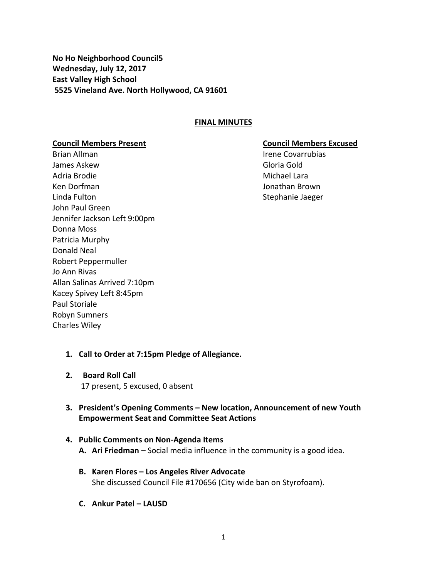**No Ho Neighborhood Council5 Wednesday, July 12, 2017 East Valley High School 5525 Vineland Ave. North Hollywood, CA 91601**

#### **FINAL MINUTES**

Brian Allman **III. Expanditure Covarrubias** Irene Covarrubias James Askew Gloria Gold Adria Brodie Michael Lara Ken Dorfman Jonathan Brown Linda Fulton Stephanie Jaeger John Paul Green Jennifer Jackson Left 9:00pm Donna Moss Patricia Murphy Donald Neal Robert Peppermuller Jo Ann Rivas Allan Salinas Arrived 7:10pm Kacey Spivey Left 8:45pm Paul Storiale Robyn Sumners Charles Wiley

#### **Council Members Present Council Members Excused**

- **1. Call to Order at 7:15pm Pledge of Allegiance.**
- **2. Board Roll Call** 17 present, 5 excused, 0 absent
- **3. President's Opening Comments – New location, Announcement of new Youth Empowerment Seat and Committee Seat Actions**

# **4. Public Comments on Non-Agenda Items**

- **A. Ari Friedman –** Social media influence in the community is a good idea.
- **B. Karen Flores – Los Angeles River Advocate** She discussed Council File #170656 (City wide ban on Styrofoam).
- **C. Ankur Patel – LAUSD**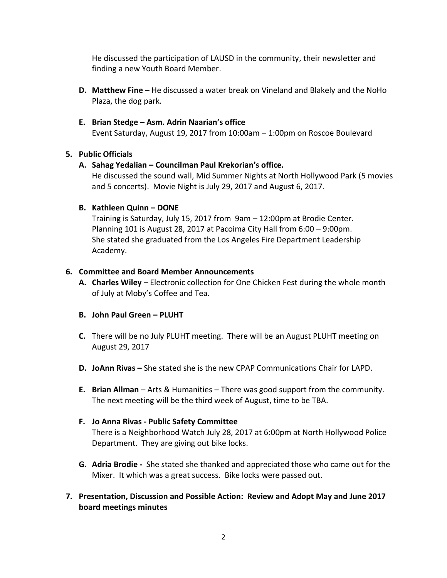He discussed the participation of LAUSD in the community, their newsletter and finding a new Youth Board Member.

**D. Matthew Fine** – He discussed a water break on Vineland and Blakely and the NoHo Plaza, the dog park.

# **E. Brian Stedge – Asm. Adrin Naarian's office**

Event Saturday, August 19, 2017 from 10:00am – 1:00pm on Roscoe Boulevard

# **5. Public Officials**

#### **A. Sahag Yedalian – Councilman Paul Krekorian's office.**

He discussed the sound wall, Mid Summer Nights at North Hollywood Park (5 movies and 5 concerts). Movie Night is July 29, 2017 and August 6, 2017.

#### **B. Kathleen Quinn – DONE**

Training is Saturday, July 15, 2017 from 9am – 12:00pm at Brodie Center. Planning 101 is August 28, 2017 at Pacoima City Hall from 6:00 – 9:00pm. She stated she graduated from the Los Angeles Fire Department Leadership Academy.

#### **6. Committee and Board Member Announcements**

**A. Charles Wiley** – Electronic collection for One Chicken Fest during the whole month of July at Moby's Coffee and Tea.

# **B. John Paul Green – PLUHT**

- **C.** There will be no July PLUHT meeting. There will be an August PLUHT meeting on August 29, 2017
- **D. JoAnn Rivas –** She stated she is the new CPAP Communications Chair for LAPD.
- **E. Brian Allman** Arts & Humanities There was good support from the community. The next meeting will be the third week of August, time to be TBA.

# **F. Jo Anna Rivas - Public Safety Committee**

There is a Neighborhood Watch July 28, 2017 at 6:00pm at North Hollywood Police Department. They are giving out bike locks.

- **G. Adria Brodie** She stated she thanked and appreciated those who came out for the Mixer. It which was a great success. Bike locks were passed out.
- **7. Presentation, Discussion and Possible Action: Review and Adopt May and June 2017 board meetings minutes**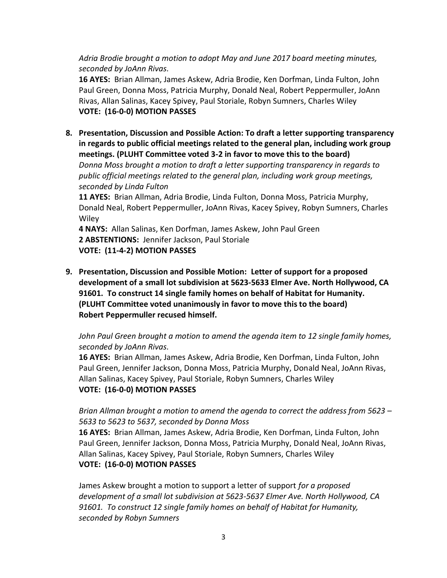*Adria Brodie brought a motion to adopt May and June 2017 board meeting minutes, seconded by JoAnn Rivas.* 

**16 AYES:** Brian Allman, James Askew, Adria Brodie, Ken Dorfman, Linda Fulton, John Paul Green, Donna Moss, Patricia Murphy, Donald Neal, Robert Peppermuller, JoAnn Rivas, Allan Salinas, Kacey Spivey, Paul Storiale, Robyn Sumners, Charles Wiley **VOTE: (16-0-0) MOTION PASSES**

**8. Presentation, Discussion and Possible Action: To draft a letter supporting transparency in regards to public official meetings related to the general plan, including work group meetings. (PLUHT Committee voted 3-2 in favor to move this to the board)**

*Donna Moss brought a motion to draft a letter supporting transparency in regards to public official meetings related to the general plan, including work group meetings, seconded by Linda Fulton*

**11 AYES:** Brian Allman, Adria Brodie, Linda Fulton, Donna Moss, Patricia Murphy, Donald Neal, Robert Peppermuller, JoAnn Rivas, Kacey Spivey, Robyn Sumners, Charles **Wiley** 

**4 NAYS:** Allan Salinas, Ken Dorfman, James Askew, John Paul Green **2 ABSTENTIONS:** Jennifer Jackson, Paul Storiale **VOTE: (11-4-2) MOTION PASSES**

**9. Presentation, Discussion and Possible Motion: Letter of support for a proposed development of a small lot subdivision at 5623-5633 Elmer Ave. North Hollywood, CA 91601. To construct 14 single family homes on behalf of Habitat for Humanity. (PLUHT Committee voted unanimously in favor to move this to the board) Robert Peppermuller recused himself.**

*John Paul Green brought a motion to amend the agenda item to 12 single family homes, seconded by JoAnn Rivas.* 

**16 AYES:** Brian Allman, James Askew, Adria Brodie, Ken Dorfman, Linda Fulton, John Paul Green, Jennifer Jackson, Donna Moss, Patricia Murphy, Donald Neal, JoAnn Rivas, Allan Salinas, Kacey Spivey, Paul Storiale, Robyn Sumners, Charles Wiley **VOTE: (16-0-0) MOTION PASSES**

# *Brian Allman brought a motion to amend the agenda to correct the address from 5623 – 5633 to 5623 to 5637, seconded by Donna Moss*

**16 AYES:** Brian Allman, James Askew, Adria Brodie, Ken Dorfman, Linda Fulton, John Paul Green, Jennifer Jackson, Donna Moss, Patricia Murphy, Donald Neal, JoAnn Rivas, Allan Salinas, Kacey Spivey, Paul Storiale, Robyn Sumners, Charles Wiley **VOTE: (16-0-0) MOTION PASSES**

James Askew brought a motion to support a letter of support *for a proposed development of a small lot subdivision at 5623-5637 Elmer Ave. North Hollywood, CA 91601. To construct 12 single family homes on behalf of Habitat for Humanity, seconded by Robyn Sumners*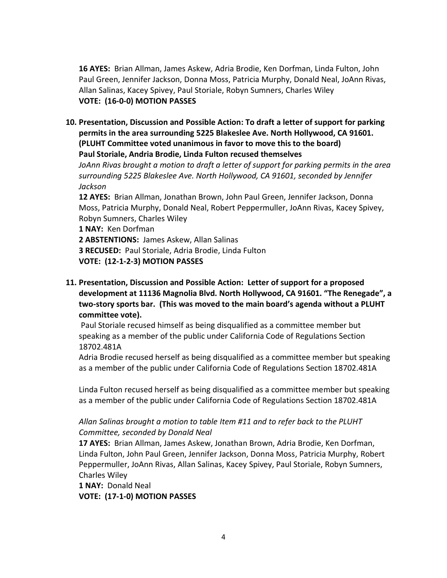**16 AYES:** Brian Allman, James Askew, Adria Brodie, Ken Dorfman, Linda Fulton, John Paul Green, Jennifer Jackson, Donna Moss, Patricia Murphy, Donald Neal, JoAnn Rivas, Allan Salinas, Kacey Spivey, Paul Storiale, Robyn Sumners, Charles Wiley **VOTE: (16-0-0) MOTION PASSES**

**10. Presentation, Discussion and Possible Action: To draft a letter of support for parking permits in the area surrounding 5225 Blakeslee Ave. North Hollywood, CA 91601. (PLUHT Committee voted unanimous in favor to move this to the board) Paul Storiale, Andria Brodie, Linda Fulton recused themselves**

*JoAnn Rivas brought a motion to draft a letter of support for parking permits in the area surrounding 5225 Blakeslee Ave. North Hollywood, CA 91601, seconded by Jennifer Jackson*

**12 AYES:** Brian Allman, Jonathan Brown, John Paul Green, Jennifer Jackson, Donna Moss, Patricia Murphy, Donald Neal, Robert Peppermuller, JoAnn Rivas, Kacey Spivey, Robyn Sumners, Charles Wiley

**1 NAY:** Ken Dorfman **2 ABSTENTIONS:** James Askew, Allan Salinas **3 RECUSED:** Paul Storiale, Adria Brodie, Linda Fulton **VOTE: (12-1-2-3) MOTION PASSES**

**11. Presentation, Discussion and Possible Action: Letter of support for a proposed development at 11136 Magnolia Blvd. North Hollywood, CA 91601. "The Renegade", a two-story sports bar. (This was moved to the main board's agenda without a PLUHT committee vote).**

Paul Storiale recused himself as being disqualified as a committee member but speaking as a member of the public under California Code of Regulations Section 18702.481A

Adria Brodie recused herself as being disqualified as a committee member but speaking as a member of the public under California Code of Regulations Section 18702.481A

Linda Fulton recused herself as being disqualified as a committee member but speaking as a member of the public under California Code of Regulations Section 18702.481A

# *Allan Salinas brought a motion to table Item #11 and to refer back to the PLUHT Committee, seconded by Donald Neal*

**17 AYES:** Brian Allman, James Askew, Jonathan Brown, Adria Brodie, Ken Dorfman, Linda Fulton, John Paul Green, Jennifer Jackson, Donna Moss, Patricia Murphy, Robert Peppermuller, JoAnn Rivas, Allan Salinas, Kacey Spivey, Paul Storiale, Robyn Sumners, Charles Wiley

**1 NAY:** Donald Neal **VOTE: (17-1-0) MOTION PASSES**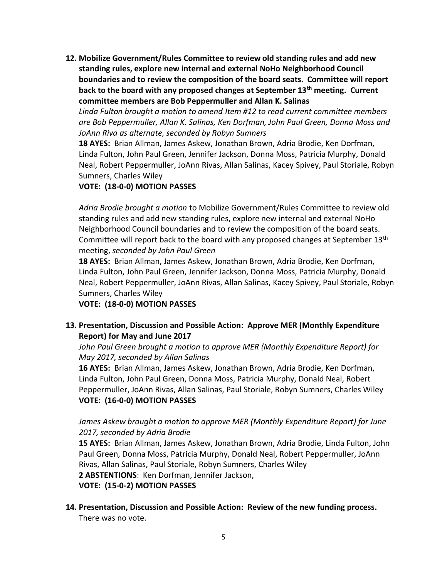**12. Mobilize Government/Rules Committee to review old standing rules and add new standing rules, explore new internal and external NoHo Neighborhood Council boundaries and to review the composition of the board seats. Committee will report back to the board with any proposed changes at September 13th meeting. Current committee members are Bob Peppermuller and Allan K. Salinas**

*Linda Fulton brought a motion to amend Item #12 to read current committee members are Bob Peppermuller, Allan K. Salinas, Ken Dorfman, John Paul Green, Donna Moss and JoAnn Riva as alternate, seconded by Robyn Sumners*

**18 AYES:** Brian Allman, James Askew, Jonathan Brown, Adria Brodie, Ken Dorfman, Linda Fulton, John Paul Green, Jennifer Jackson, Donna Moss, Patricia Murphy, Donald Neal, Robert Peppermuller, JoAnn Rivas, Allan Salinas, Kacey Spivey, Paul Storiale, Robyn Sumners, Charles Wiley

# **VOTE: (18-0-0) MOTION PASSES**

*Adria Brodie brought a motion* to Mobilize Government/Rules Committee to review old standing rules and add new standing rules, explore new internal and external NoHo Neighborhood Council boundaries and to review the composition of the board seats. Committee will report back to the board with any proposed changes at September  $13<sup>th</sup>$ meeting, *seconded by John Paul Green*

**18 AYES:** Brian Allman, James Askew, Jonathan Brown, Adria Brodie, Ken Dorfman, Linda Fulton, John Paul Green, Jennifer Jackson, Donna Moss, Patricia Murphy, Donald Neal, Robert Peppermuller, JoAnn Rivas, Allan Salinas, Kacey Spivey, Paul Storiale, Robyn Sumners, Charles Wiley

**VOTE: (18-0-0) MOTION PASSES**

# **13. Presentation, Discussion and Possible Action: Approve MER (Monthly Expenditure Report) for May and June 2017**

*John Paul Green brought a motion to approve MER (Monthly Expenditure Report) for May 2017, seconded by Allan Salinas*

**16 AYES:** Brian Allman, James Askew, Jonathan Brown, Adria Brodie, Ken Dorfman, Linda Fulton, John Paul Green, Donna Moss, Patricia Murphy, Donald Neal, Robert Peppermuller, JoAnn Rivas, Allan Salinas, Paul Storiale, Robyn Sumners, Charles Wiley **VOTE: (16-0-0) MOTION PASSES**

# *James Askew brought a motion to approve MER (Monthly Expenditure Report) for June 2017, seconded by Adria Brodie*

**15 AYES:** Brian Allman, James Askew, Jonathan Brown, Adria Brodie, Linda Fulton, John Paul Green, Donna Moss, Patricia Murphy, Donald Neal, Robert Peppermuller, JoAnn Rivas, Allan Salinas, Paul Storiale, Robyn Sumners, Charles Wiley

**2 ABSTENTIONS**: Ken Dorfman, Jennifer Jackson,

**VOTE: (15-0-2) MOTION PASSES**

#### **14. Presentation, Discussion and Possible Action: Review of the new funding process.** There was no vote.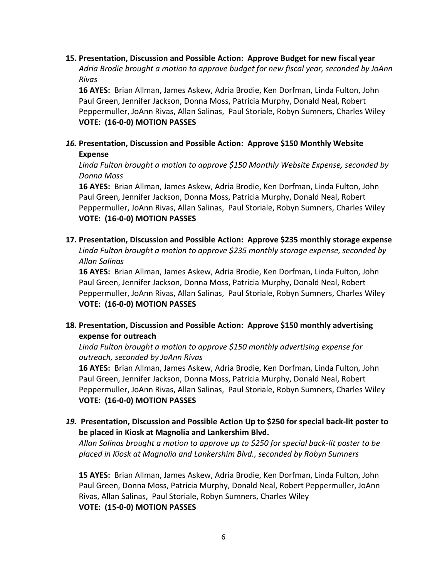# **15. Presentation, Discussion and Possible Action: Approve Budget for new fiscal year** *Adria Brodie brought a motion to approve budget for new fiscal year, seconded by JoAnn Rivas*

**16 AYES:** Brian Allman, James Askew, Adria Brodie, Ken Dorfman, Linda Fulton, John Paul Green, Jennifer Jackson, Donna Moss, Patricia Murphy, Donald Neal, Robert Peppermuller, JoAnn Rivas, Allan Salinas, Paul Storiale, Robyn Sumners, Charles Wiley **VOTE: (16-0-0) MOTION PASSES**

# *16.* **Presentation, Discussion and Possible Action: Approve \$150 Monthly Website Expense**

*Linda Fulton brought a motion to approve \$150 Monthly Website Expense, seconded by Donna Moss*

**16 AYES:** Brian Allman, James Askew, Adria Brodie, Ken Dorfman, Linda Fulton, John Paul Green, Jennifer Jackson, Donna Moss, Patricia Murphy, Donald Neal, Robert Peppermuller, JoAnn Rivas, Allan Salinas, Paul Storiale, Robyn Sumners, Charles Wiley **VOTE: (16-0-0) MOTION PASSES**

# **17. Presentation, Discussion and Possible Action: Approve \$235 monthly storage expense**

*Linda Fulton brought a motion to approve \$235 monthly storage expense, seconded by Allan Salinas*

**16 AYES:** Brian Allman, James Askew, Adria Brodie, Ken Dorfman, Linda Fulton, John Paul Green, Jennifer Jackson, Donna Moss, Patricia Murphy, Donald Neal, Robert Peppermuller, JoAnn Rivas, Allan Salinas, Paul Storiale, Robyn Sumners, Charles Wiley **VOTE: (16-0-0) MOTION PASSES**

# **18. Presentation, Discussion and Possible Action: Approve \$150 monthly advertising expense for outreach**

*Linda Fulton brought a motion to approve \$150 monthly advertising expense for outreach, seconded by JoAnn Rivas*

**16 AYES:** Brian Allman, James Askew, Adria Brodie, Ken Dorfman, Linda Fulton, John Paul Green, Jennifer Jackson, Donna Moss, Patricia Murphy, Donald Neal, Robert Peppermuller, JoAnn Rivas, Allan Salinas, Paul Storiale, Robyn Sumners, Charles Wiley **VOTE: (16-0-0) MOTION PASSES**

# *19.* **Presentation, Discussion and Possible Action Up to \$250 for special back-lit poster to be placed in Kiosk at Magnolia and Lankershim Blvd.**

*Allan Salinas brought a motion to approve up to \$250 for special back-lit poster to be placed in Kiosk at Magnolia and Lankershim Blvd., seconded by Robyn Sumners*

**15 AYES:** Brian Allman, James Askew, Adria Brodie, Ken Dorfman, Linda Fulton, John Paul Green, Donna Moss, Patricia Murphy, Donald Neal, Robert Peppermuller, JoAnn Rivas, Allan Salinas, Paul Storiale, Robyn Sumners, Charles Wiley **VOTE: (15-0-0) MOTION PASSES**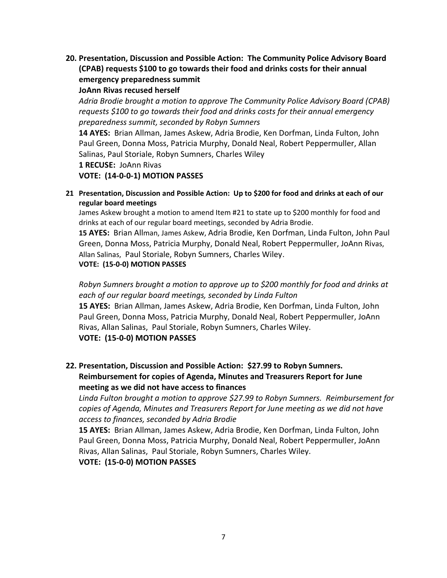**20. Presentation, Discussion and Possible Action: The Community Police Advisory Board (CPAB) requests \$100 to go towards their food and drinks costs for their annual emergency preparedness summit**

#### **JoAnn Rivas recused herself**

*Adria Brodie brought a motion to approve The Community Police Advisory Board (CPAB) requests \$100 to go towards their food and drinks costs for their annual emergency preparedness summit, seconded by Robyn Sumners*

**14 AYES:** Brian Allman, James Askew, Adria Brodie, Ken Dorfman, Linda Fulton, John Paul Green, Donna Moss, Patricia Murphy, Donald Neal, Robert Peppermuller, Allan Salinas, Paul Storiale, Robyn Sumners, Charles Wiley

**1 RECUSE:** JoAnn Rivas

**VOTE: (14-0-0-1) MOTION PASSES**

**21 Presentation, Discussion and Possible Action: Up to \$200 for food and drinks at each of our regular board meetings**

James Askew brought a motion to amend Item #21 to state up to \$200 monthly for food and drinks at each of our regular board meetings, seconded by Adria Brodie.

**15 AYES:** Brian Allman, James Askew, Adria Brodie, Ken Dorfman, Linda Fulton, John Paul Green, Donna Moss, Patricia Murphy, Donald Neal, Robert Peppermuller, JoAnn Rivas, Allan Salinas, Paul Storiale, Robyn Sumners, Charles Wiley. **VOTE: (15-0-0) MOTION PASSES**

*Robyn Sumners brought a motion to approve up to \$200 monthly for food and drinks at each of our regular board meetings, seconded by Linda Fulton*

**15 AYES:** Brian Allman, James Askew, Adria Brodie, Ken Dorfman, Linda Fulton, John Paul Green, Donna Moss, Patricia Murphy, Donald Neal, Robert Peppermuller, JoAnn Rivas, Allan Salinas, Paul Storiale, Robyn Sumners, Charles Wiley. **VOTE: (15-0-0) MOTION PASSES**

**22. Presentation, Discussion and Possible Action: \$27.99 to Robyn Sumners. Reimbursement for copies of Agenda, Minutes and Treasurers Report for June meeting as we did not have access to finances**

*Linda Fulton brought a motion to approve \$27.99 to Robyn Sumners. Reimbursement for copies of Agenda, Minutes and Treasurers Report for June meeting as we did not have access to finances, seconded by Adria Brodie* 

**15 AYES:** Brian Allman, James Askew, Adria Brodie, Ken Dorfman, Linda Fulton, John Paul Green, Donna Moss, Patricia Murphy, Donald Neal, Robert Peppermuller, JoAnn Rivas, Allan Salinas, Paul Storiale, Robyn Sumners, Charles Wiley.

**VOTE: (15-0-0) MOTION PASSES**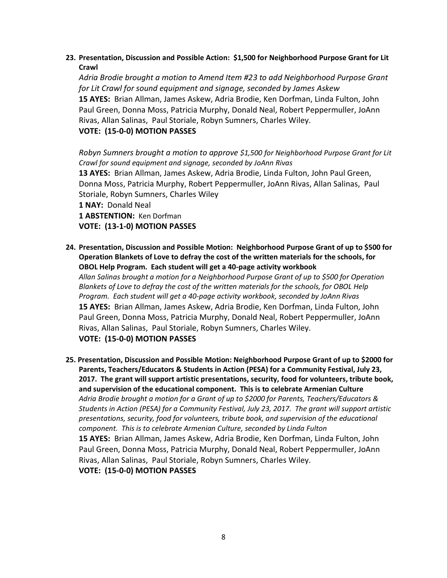# **23. Presentation, Discussion and Possible Action: \$1,500 for Neighborhood Purpose Grant for Lit Crawl**

*Adria Brodie brought a motion to Amend Item #23 to add Neighborhood Purpose Grant for Lit Crawl for sound equipment and signage, seconded by James Askew* **15 AYES:** Brian Allman, James Askew, Adria Brodie, Ken Dorfman, Linda Fulton, John Paul Green, Donna Moss, Patricia Murphy, Donald Neal, Robert Peppermuller, JoAnn Rivas, Allan Salinas, Paul Storiale, Robyn Sumners, Charles Wiley.

# **VOTE: (15-0-0) MOTION PASSES**

*Robyn Sumners brought a motion to approve \$1,500 for Neighborhood Purpose Grant for Lit Crawl for sound equipment and signage, seconded by JoAnn Rivas* **13 AYES:** Brian Allman, James Askew, Adria Brodie, Linda Fulton, John Paul Green, Donna Moss, Patricia Murphy, Robert Peppermuller, JoAnn Rivas, Allan Salinas, Paul Storiale, Robyn Sumners, Charles Wiley **1 NAY:** Donald Neal **1 ABSTENTION:** Ken Dorfman **VOTE: (13-1-0) MOTION PASSES**

**24. Presentation, Discussion and Possible Motion: Neighborhood Purpose Grant of up to \$500 for Operation Blankets of Love to defray the cost of the written materials for the schools, for OBOL Help Program. Each student will get a 40-page activity workbook** *Allan Salinas brought a motion for a Neighborhood Purpose Grant of up to \$500 for Operation Blankets of Love to defray the cost of the written materials for the schools, for OBOL Help Program. Each student will get a 40-page activity workbook, seconded by JoAnn Rivas* **15 AYES:** Brian Allman, James Askew, Adria Brodie, Ken Dorfman, Linda Fulton, John Paul Green, Donna Moss, Patricia Murphy, Donald Neal, Robert Peppermuller, JoAnn

Rivas, Allan Salinas, Paul Storiale, Robyn Sumners, Charles Wiley. **VOTE: (15-0-0) MOTION PASSES**

**25. Presentation, Discussion and Possible Motion: Neighborhood Purpose Grant of up to \$2000 for Parents, Teachers/Educators & Students in Action (PESA) for a Community Festival, July 23, 2017. The grant will support artistic presentations, security, food for volunteers, tribute book, and supervision of the educational component. This is to celebrate Armenian Culture** *Adria Brodie brought a motion for a Grant of up to \$2000 for Parents, Teachers/Educators & Students in Action (PESA) for a Community Festival, July 23, 2017. The grant will support artistic presentations, security, food for volunteers, tribute book, and supervision of the educational component. This is to celebrate Armenian Culture, seconded by Linda Fulton* **15 AYES:** Brian Allman, James Askew, Adria Brodie, Ken Dorfman, Linda Fulton, John Paul Green, Donna Moss, Patricia Murphy, Donald Neal, Robert Peppermuller, JoAnn Rivas, Allan Salinas, Paul Storiale, Robyn Sumners, Charles Wiley. **VOTE: (15-0-0) MOTION PASSES**